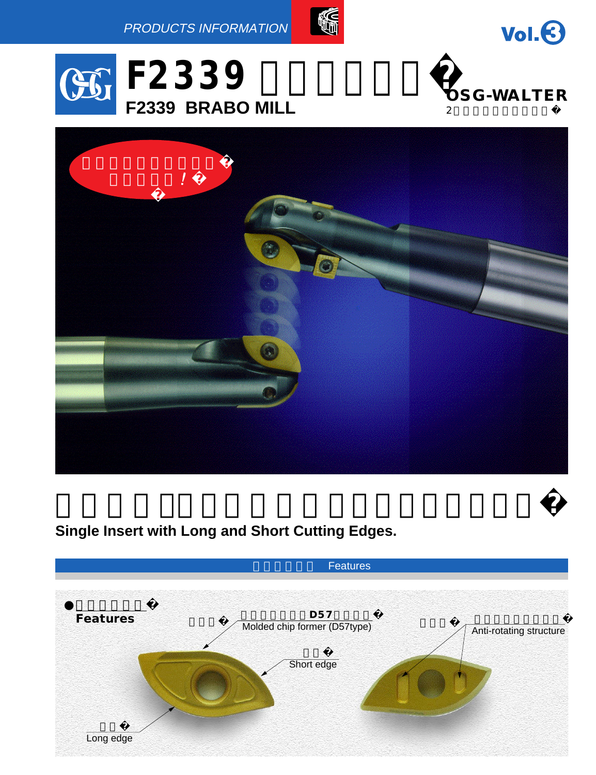



 $Vol. 6$ 



# **Single Insert with Long and Short Cutting Edges.**

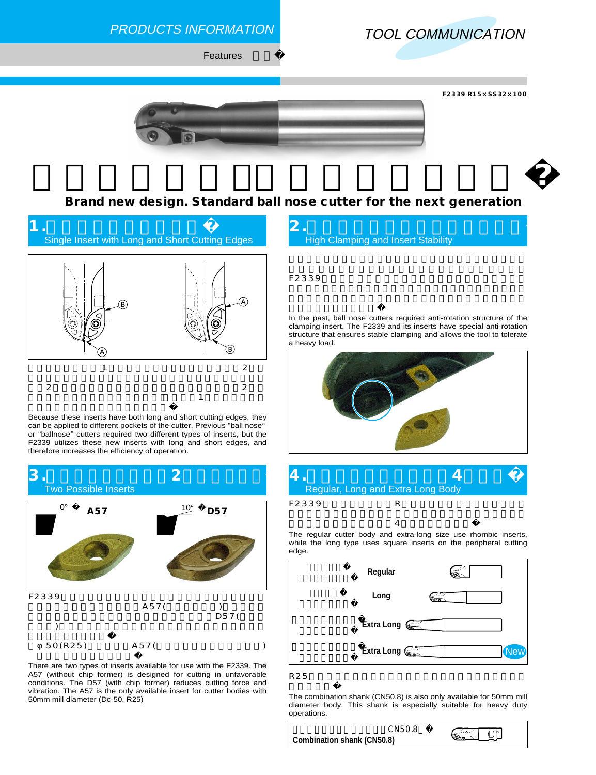

**Brand new design. Standard ball nose cutter for the next generation**



Because these inserts have both long and short cutting edges, they can be applied to different pockets of the cutter. Previous "ball nose " or "ballnose" cutters required two different types of inserts, but the F2339 utilizes these new inserts with long and short edges, and therefore increases the efficiency of operation.



There are two types of inserts available for use with the F2339. The A57 (without chip former) is designed for cutting in unfavorable conditions. The D57 (with chip former) reduces cutting force and vibration. The A57 is the only available insert for cutter bodies with 50mm mill diameter (Dc-50, R25)



F2339

In the past, ball nose cutters required anti-rotation structure of the clamping insert. The F2339 and its inserts have special anti-rotation structure that ensures stable clamping and allows the tool to tolerate a heavy load.





The regular cutter body and extra-long size use rhombic inserts, while the long type uses square inserts on the peripheral cutting edge.



 $R25$ 

The combination shank (CN50.8) is also only available for 50mm mill diameter body. This shank is especially suitable for heavy duty operations.

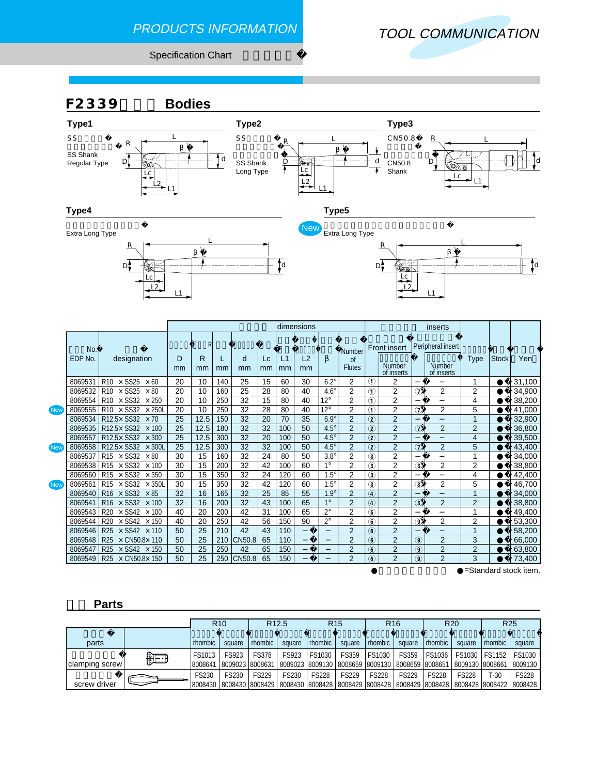### PRODUCTS INFORMATION



Specification Chart



### **部品 Parts**

|                |    | R <sub>12.5</sub><br>R <sub>10</sub> |                          |              | R <sub>15</sub> |              | R <sub>16</sub> |                  | <b>R20</b>                                                      |              | R <sub>25</sub>           |         |                                                                                                                          |
|----------------|----|--------------------------------------|--------------------------|--------------|-----------------|--------------|-----------------|------------------|-----------------------------------------------------------------|--------------|---------------------------|---------|--------------------------------------------------------------------------------------------------------------------------|
| parts          |    | rhombic                              | square                   | rhombic      | square          | rhombic      | square          | <i>I</i> rhombic | square                                                          | rhombic      | square                    | rhombic | square                                                                                                                   |
| clamping screw | €⊟ | FS1013<br>8008641                    | FS923<br>8009023 8008631 | <b>FS378</b> | FS923           | FS1030       | FS359           | <b>FS1030</b>    | <b>FS359</b><br>8009023 8009130 8008659 8009130 8008659 8008651 | FS1036       | FS1030<br>8009130 8008661 | FS1152  | FS1030<br>8009130                                                                                                        |
| screw driver   |    | FS230<br>8008430                     | FS230                    | <b>FS229</b> | FS230           | <b>FS228</b> | <b>FS229</b>    | <b>FS228</b>     | <b>FS229</b>                                                    | <b>FS228</b> | <b>FS228</b>              | $F-30$  | <b>FS228</b><br>  8008430  8008429   8008430  8008428   8008429  8008428   8008429  8008428   8008428  8008422   8008428 |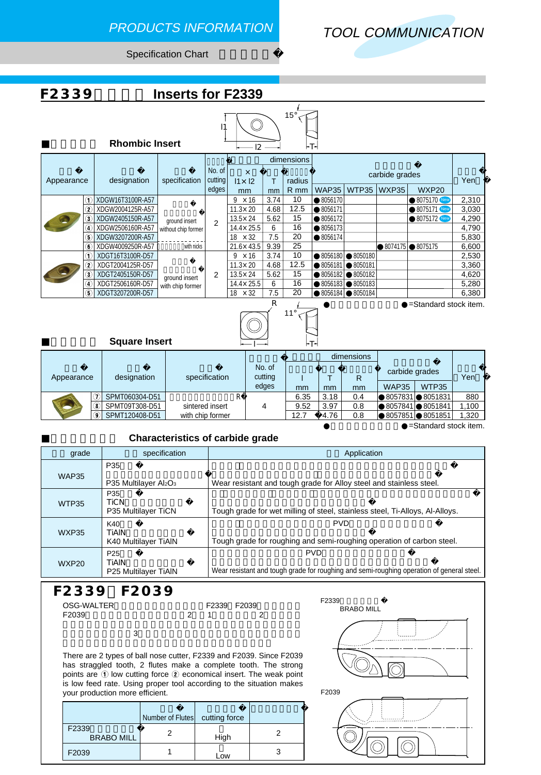## PRODUCTS INFORMATION



Specification Chart





|                                                                            |                 | <b>Rhombic Insert</b> |                     |                   | 12                                          |                      | ┝┬┥        |              |                  |                |                |              |       |         |         |  |
|----------------------------------------------------------------------------|-----------------|-----------------------|---------------------|-------------------|---------------------------------------------|----------------------|------------|--------------|------------------|----------------|----------------|--------------|-------|---------|---------|--|
|                                                                            |                 |                       |                     |                   |                                             |                      | dimensions |              |                  |                |                |              |       |         |         |  |
| Appearance                                                                 |                 | designation           | specification       | No. of<br>cutting | $\boldsymbol{\mathsf{x}}$<br>$11 \times 12$ |                      | radius     |              |                  | carbide grades |                | Yen          |       |         |         |  |
|                                                                            |                 |                       |                     | edges             | mm                                          | mm                   | R mm       | <b>WAP35</b> | WTP35            | WXP35          | WXP20          |              |       |         |         |  |
|                                                                            | ന⊧              | XDGW16T3100R-A57      |                     |                   | $\times$ 16<br>9                            | 3.74                 | 10         | 8056170      |                  |                | 8075170 New    | 2,310        |       |         |         |  |
|                                                                            | $^\mathrm{(2)}$ | XDGW2004125R-A57      |                     |                   | $11.3 \times 20$                            | 4.68                 | 12.5       | 8056171      |                  |                | 8075171 New    | 3,030        |       |         |         |  |
|                                                                            | 3)              | XDGW2405150R-A57      | ground insert       | $\mathfrak{p}$    | $13.5 \times 24$                            | 5.62                 | 15         | 8056172      |                  |                | 8075172 New    | 4,290        |       |         |         |  |
|                                                                            | $\overline{4}$  | XDGW2506160R-A57      | without chip former |                   | 14.4×25.5                                   | 6                    | 16         | 8056173      |                  |                |                | 4,790        |       |         |         |  |
|                                                                            | 5               | XDGW3207200R-A57      |                     |                   |                                             | $\times$ 32<br>18    | 7.5        | 20           | 8056174          |                |                |              | 5,830 |         |         |  |
|                                                                            | 6.              | XDGW4009250R-A57      | with nicks          |                   | $21.6 \times 43.5$                          | 9.39                 | 25         |              |                  | 8074175        | 8075175        | 6,600        |       |         |         |  |
|                                                                            | 1.              | XDGT16T3100R-D57      |                     |                   | $\times$ 16<br>9                            | 3.74                 | 10         | 8056180      | 8050180          |                |                | 2,530        |       |         |         |  |
|                                                                            | 2               | XDGT2004125R-D57      |                     |                   | $11.3 \times 20$                            | 4.68                 | 12.5       | 8056181      | 8050181          |                |                | 3,360        |       |         |         |  |
|                                                                            | 3.              | XDGT2405150R-D57      | ground insert       | 2                 |                                             | 13.5×24              | 5.62       | 15           | 8056182          | 8050182        |                |              | 4,620 |         |         |  |
|                                                                            | 4               | XDGT2506160R-D57      | with chip former    |                   |                                             |                      |            |              |                  |                | 14.4×25.5      | 6            | 16    | 8056183 | 8050183 |  |
|                                                                            | Б               | XDGT3207200R-D57      |                     |                   | $18 \times 32$                              | 7.5                  | 20         | 8056184      | 8050184          |                |                | 6,380        |       |         |         |  |
| R<br>=Standard stock item.<br>$11^{\circ}$<br><b>Square Insert</b><br>l≁T≁ |                 |                       |                     |                   |                                             |                      |            |              |                  |                |                |              |       |         |         |  |
|                                                                            |                 |                       |                     |                   |                                             |                      |            |              |                  |                |                |              |       |         |         |  |
| Annocranos                                                                 |                 | dooignotion           |                     | opooification     |                                             | No. of<br>$cutt$ ina |            | $\mathbf{r}$ | dimensions<br>D. |                | carbide grades | $V_{\Omega}$ |       |         |         |  |

| Appearance            |     | designation    | specification    | No. of<br>cutting |      |      | R   | carbide grades |         | Yen   |  |
|-----------------------|-----|----------------|------------------|-------------------|------|------|-----|----------------|---------|-------|--|
|                       |     |                |                  | edges             | mm   | mm   | mm  | <b>WAP35</b>   | WTP35   |       |  |
|                       |     | SPMT060304-D51 |                  |                   | 6.35 | 3.18 | 0.4 | 8057831        | 8051831 | 880   |  |
|                       |     | SPMT09T308-D51 | sintered insert  |                   | 9.52 | 3.97 | 0.8 | 8057841        | 8051841 | 1,100 |  |
|                       | (9) | SPMT120408-D51 | with chip former |                   | 12.7 | 4.76 | 0.8 | 8057851        | 8051851 | 1,320 |  |
| =Standard stock item. |     |                |                  |                   |      |      |     |                |         |       |  |

### **Characteristics of carbide grade**

| grade        | specification                                    | Application                                                                                             |
|--------------|--------------------------------------------------|---------------------------------------------------------------------------------------------------------|
| <b>WAP35</b> | P35<br>P35 Multilayer Al2O <sub>3</sub>          | Wear resistant and tough grade for Alloy steel and stainless steel.                                     |
| WTP35        | P35<br><b>TiCN</b><br>P35 Multilayer TiCN        | Tough grade for wet milling of steel, stainless steel, Ti-Alloys, Al-Alloys.                            |
| <b>WXP35</b> | K40<br><b>TIAIN</b><br>K40 Multilayer TiAIN      | <b>PVD</b><br>Tough grade for roughing and semi-roughing operation of carbon steel.                     |
| WXP20        | P <sub>25</sub><br>TIAIN<br>P25 Multilayer TiAIN | <b>PVD</b><br>Wear resistant and tough grade for roughing and semi-roughing operation of general steel. |

### **F2339とF2039**

| OSG-WALTER |               | F2339 F2039 |  |
|------------|---------------|-------------|--|
| F2039      | $\mathcal{P}$ |             |  |
|            |               |             |  |

 $\sim$  3

There are 2 types of ball nose cutter, F2339 and F2039. Since F2039 has straggled tooth, 2 flutes make a complete tooth. The strong points are  $\odot$  low cutting force  $\oslash$  economical insert. The weak point is low feed rate. Using proper tool according to the situation makes your production more efficient. The state of the state of the state of the state of the state of the state of the state of the state of the state of the state of the state of the state of the state of the state of the stat

|                            | Number of Flutes | cutting force |  |
|----------------------------|------------------|---------------|--|
| F2339<br><b>BRABO MILL</b> |                  | High          |  |
| F2039                      |                  | _OW           |  |



F2339

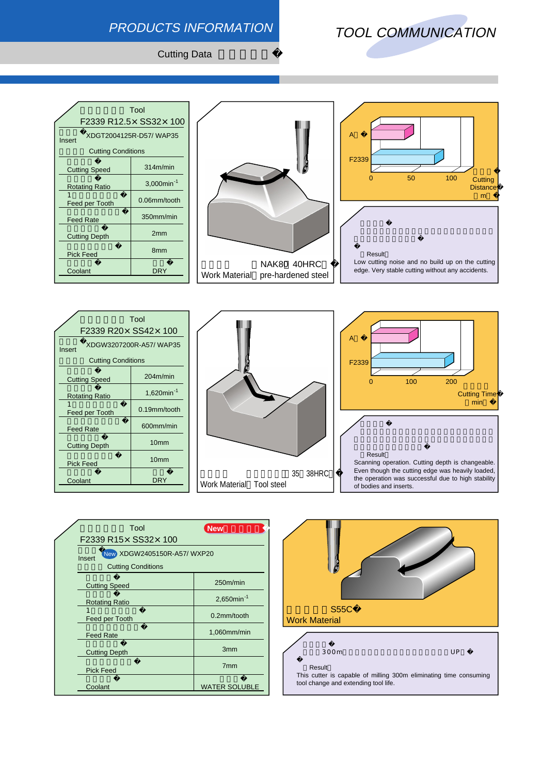## PRODUCTS INFORMATION

# TOOL COMMUNICATION

**Cutting Data** 

|                                  | Tool                   |  |  |  |  |  |  |  |  |
|----------------------------------|------------------------|--|--|--|--|--|--|--|--|
| F2339 R12.5× SS32× 100           |                        |  |  |  |  |  |  |  |  |
| XDGT2004125R-D57/WAP35<br>Insert |                        |  |  |  |  |  |  |  |  |
| <b>Cutting Conditions</b>        |                        |  |  |  |  |  |  |  |  |
| <b>Cutting Speed</b>             | 314m/min               |  |  |  |  |  |  |  |  |
| <b>Rotating Ratio</b>            | 3,000min <sup>-1</sup> |  |  |  |  |  |  |  |  |
| Feed per Tooth                   | 0.06mm/tooth           |  |  |  |  |  |  |  |  |
| <b>Feed Rate</b>                 | 350mm/min              |  |  |  |  |  |  |  |  |
| <b>Cutting Depth</b>             | 2mm                    |  |  |  |  |  |  |  |  |
| <b>Pick Feed</b>                 | 8 <sub>mm</sub>        |  |  |  |  |  |  |  |  |
| Coolant                          | DRY                    |  |  |  |  |  |  |  |  |
|                                  |                        |  |  |  |  |  |  |  |  |





|                           | Tool                   |  |  |  |  |  |  |  |  |  |
|---------------------------|------------------------|--|--|--|--|--|--|--|--|--|
| F2339 R20× SS42× 100      |                        |  |  |  |  |  |  |  |  |  |
| Insert                    | XDGW3207200R-A57/WAP35 |  |  |  |  |  |  |  |  |  |
| <b>Cutting Conditions</b> |                        |  |  |  |  |  |  |  |  |  |
| <b>Cutting Speed</b>      | 204m/min               |  |  |  |  |  |  |  |  |  |
| <b>Rotating Ratio</b>     | 1,620 $min^{-1}$       |  |  |  |  |  |  |  |  |  |
| Feed per Tooth            | 0.19mm/tooth           |  |  |  |  |  |  |  |  |  |
| <b>Feed Rate</b>          | $600$ mm/min           |  |  |  |  |  |  |  |  |  |
| <b>Cutting Depth</b>      | 10 <sub>mm</sub>       |  |  |  |  |  |  |  |  |  |
| <b>Pick Feed</b>          | 10 <sub>mm</sub>       |  |  |  |  |  |  |  |  |  |
| Coolant                   | DRY                    |  |  |  |  |  |  |  |  |  |





the operation was successful due to high stability

| Tool                                 | <b>New</b>             |
|--------------------------------------|------------------------|
| F2339 R15× SS32× 100                 |                        |
| New XDGW2405150R-A57/WXP20<br>Insert |                        |
| <b>Cutting Conditions</b>            |                        |
| <b>Cutting Speed</b>                 | 250m/min               |
| <b>Rotating Ratio</b>                | 2,650min <sup>-1</sup> |
| Feed per Tooth                       | $0.2$ mm/tooth         |
| <b>Feed Rate</b>                     | 1,060mm/min            |
| <b>Cutting Depth</b>                 | 3 <sub>mm</sub>        |
| <b>Pick Feed</b>                     | 7 <sub>mm</sub>        |
| Coolant                              | <b>WATER SOLUBLE</b>   |



of bodies and inserts.